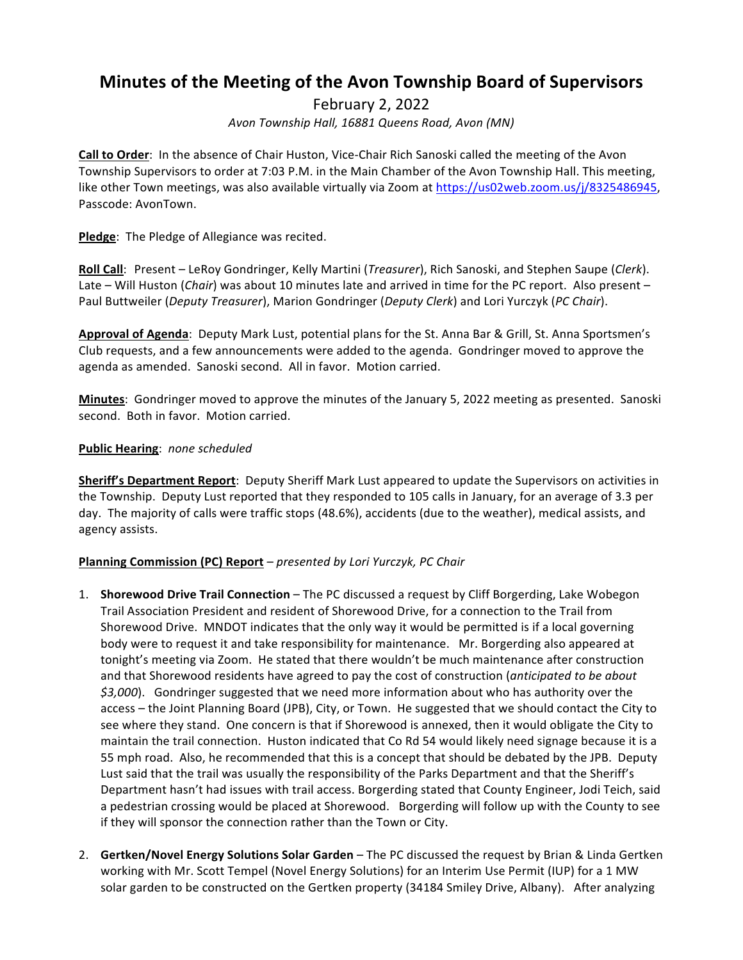# **Minutes of the Meeting of the Avon Township Board of Supervisors**

February 2, 2022 *Avon Township Hall, 16881 Queens Road, Avon (MN)*

**Call to Order:** In the absence of Chair Huston, Vice-Chair Rich Sanoski called the meeting of the Avon Township Supervisors to order at 7:03 P.M. in the Main Chamber of the Avon Township Hall. This meeting, like other Town meetings, was also available virtually via Zoom at https://us02web.zoom.us/j/8325486945, Passcode: AvonTown.

**Pledge**: The Pledge of Allegiance was recited.

Roll Call: Present - LeRoy Gondringer, Kelly Martini (*Treasurer*), Rich Sanoski, and Stephen Saupe (Clerk). Late – Will Huston (*Chair*) was about 10 minutes late and arrived in time for the PC report. Also present – Paul Buttweiler (*Deputy Treasurer*), Marion Gondringer (*Deputy Clerk*) and Lori Yurczyk (*PC Chair*).

Approval of Agenda: Deputy Mark Lust, potential plans for the St. Anna Bar & Grill, St. Anna Sportsmen's Club requests, and a few announcements were added to the agenda. Gondringer moved to approve the agenda as amended. Sanoski second. All in favor. Motion carried.

**Minutes**: Gondringer moved to approve the minutes of the January 5, 2022 meeting as presented. Sanoski second. Both in favor. Motion carried.

## **Public Hearing: none scheduled**

**Sheriff's Department Report**: Deputy Sheriff Mark Lust appeared to update the Supervisors on activities in the Township. Deputy Lust reported that they responded to 105 calls in January, for an average of 3.3 per day. The majority of calls were traffic stops (48.6%), accidents (due to the weather), medical assists, and agency assists. 

# **Planning Commission (PC) Report** *– presented by Lori Yurczyk, PC Chair*

- 1. **Shorewood Drive Trail Connection** The PC discussed a request by Cliff Borgerding, Lake Wobegon Trail Association President and resident of Shorewood Drive, for a connection to the Trail from Shorewood Drive. MNDOT indicates that the only way it would be permitted is if a local governing body were to request it and take responsibility for maintenance. Mr. Borgerding also appeared at tonight's meeting via Zoom. He stated that there wouldn't be much maintenance after construction and that Shorewood residents have agreed to pay the cost of construction (*anticipated to be about \$3,000*). Gondringer suggested that we need more information about who has authority over the access – the Joint Planning Board (JPB), City, or Town. He suggested that we should contact the City to see where they stand. One concern is that if Shorewood is annexed, then it would obligate the City to maintain the trail connection. Huston indicated that Co Rd 54 would likely need signage because it is a 55 mph road. Also, he recommended that this is a concept that should be debated by the JPB. Deputy Lust said that the trail was usually the responsibility of the Parks Department and that the Sheriff's Department hasn't had issues with trail access. Borgerding stated that County Engineer, Jodi Teich, said a pedestrian crossing would be placed at Shorewood. Borgerding will follow up with the County to see if they will sponsor the connection rather than the Town or City.
- 2. Gertken/Novel Energy Solutions Solar Garden The PC discussed the request by Brian & Linda Gertken working with Mr. Scott Tempel (Novel Energy Solutions) for an Interim Use Permit (IUP) for a 1 MW solar garden to be constructed on the Gertken property (34184 Smiley Drive, Albany). After analyzing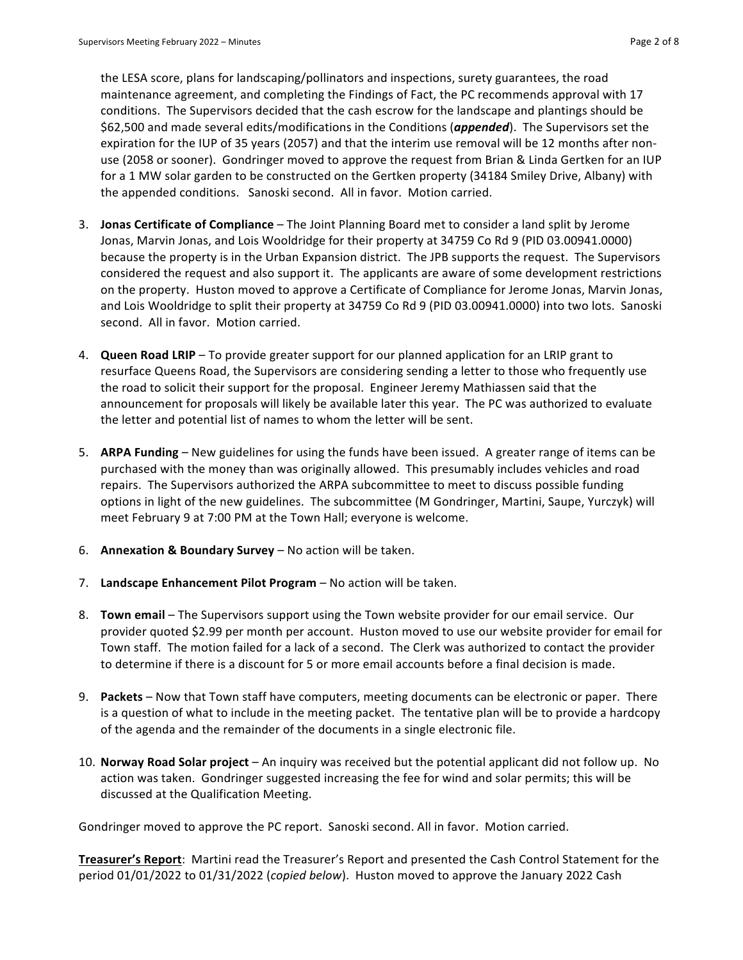the LESA score, plans for landscaping/pollinators and inspections, surety guarantees, the road maintenance agreement, and completing the Findings of Fact, the PC recommends approval with 17 conditions. The Supervisors decided that the cash escrow for the landscape and plantings should be \$62,500 and made several edits/modifications in the Conditions (*appended*). The Supervisors set the expiration for the IUP of 35 years (2057) and that the interim use removal will be 12 months after nonuse (2058 or sooner). Gondringer moved to approve the request from Brian & Linda Gertken for an IUP for a 1 MW solar garden to be constructed on the Gertken property (34184 Smiley Drive, Albany) with the appended conditions. Sanoski second. All in favor. Motion carried.

- 3. **Jonas Certificate of Compliance** The Joint Planning Board met to consider a land split by Jerome Jonas, Marvin Jonas, and Lois Wooldridge for their property at 34759 Co Rd 9 (PID 03.00941.0000) because the property is in the Urban Expansion district. The JPB supports the request. The Supervisors considered the request and also support it. The applicants are aware of some development restrictions on the property. Huston moved to approve a Certificate of Compliance for Jerome Jonas, Marvin Jonas, and Lois Wooldridge to split their property at 34759 Co Rd 9 (PID 03.00941.0000) into two lots. Sanoski second. All in favor. Motion carried.
- 4. **Queen Road LRIP** To provide greater support for our planned application for an LRIP grant to resurface Queens Road, the Supervisors are considering sending a letter to those who frequently use the road to solicit their support for the proposal. Engineer Jeremy Mathiassen said that the announcement for proposals will likely be available later this year. The PC was authorized to evaluate the letter and potential list of names to whom the letter will be sent.
- 5. **ARPA Funding** New guidelines for using the funds have been issued. A greater range of items can be purchased with the money than was originally allowed. This presumably includes vehicles and road repairs. The Supervisors authorized the ARPA subcommittee to meet to discuss possible funding options in light of the new guidelines. The subcommittee (M Gondringer, Martini, Saupe, Yurczyk) will meet February 9 at 7:00 PM at the Town Hall; everyone is welcome.
- 6. **Annexation & Boundary Survey** No action will be taken.
- 7. Landscape Enhancement Pilot Program No action will be taken.
- 8. **Town email** The Supervisors support using the Town website provider for our email service. Our provider quoted \$2.99 per month per account. Huston moved to use our website provider for email for Town staff. The motion failed for a lack of a second. The Clerk was authorized to contact the provider to determine if there is a discount for 5 or more email accounts before a final decision is made.
- 9. **Packets** Now that Town staff have computers, meeting documents can be electronic or paper. There is a question of what to include in the meeting packet. The tentative plan will be to provide a hardcopy of the agenda and the remainder of the documents in a single electronic file.
- 10. **Norway Road Solar project** An inquiry was received but the potential applicant did not follow up. No action was taken. Gondringer suggested increasing the fee for wind and solar permits; this will be discussed at the Qualification Meeting.

Gondringer moved to approve the PC report. Sanoski second. All in favor. Motion carried.

**Treasurer's Report**: Martini read the Treasurer's Report and presented the Cash Control Statement for the period 01/01/2022 to 01/31/2022 (*copied below*). Huston moved to approve the January 2022 Cash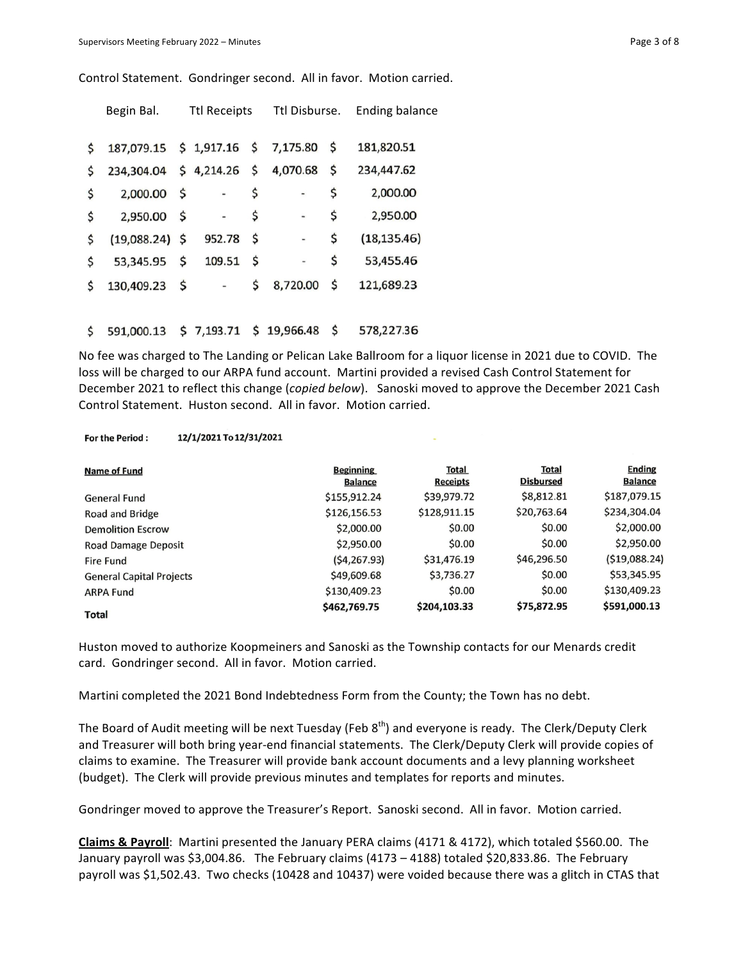Control Statement. Gondringer second. All in favor. Motion carried.

| 187,079.15 \$ 1,917.16 \$<br>181,820.51<br>7,175.80<br>$\zeta$<br>\$<br>234,304.04 \$ 4,214.26 \$<br>4,070.68<br>\$<br>234,447.62<br>\$<br>\$<br>\$<br>2,000.00<br>2,000.00 \$<br>\$<br>-<br>\$<br>2,950.00<br>\$<br>\$<br>2,950.00 \$<br>-<br>\$<br>\$<br>(18, 135.46)<br>952.78<br>$(19,088.24)$ \$<br>\$<br>-<br>\$<br>109.51<br>\$<br>53,455.46<br>\$<br>53,345.95 \$<br>$\blacksquare$<br>8,720.00<br>121,689.23<br>\$<br>\$<br>130,409.23 \$<br>\$<br>$\overline{\phantom{a}}$ | Begin Bal. | <b>Ttl Receipts</b> | Ttl Disburse. | <b>Ending balance</b> |
|--------------------------------------------------------------------------------------------------------------------------------------------------------------------------------------------------------------------------------------------------------------------------------------------------------------------------------------------------------------------------------------------------------------------------------------------------------------------------------------|------------|---------------------|---------------|-----------------------|
|                                                                                                                                                                                                                                                                                                                                                                                                                                                                                      |            |                     |               |                       |
|                                                                                                                                                                                                                                                                                                                                                                                                                                                                                      |            |                     |               |                       |
|                                                                                                                                                                                                                                                                                                                                                                                                                                                                                      |            |                     |               |                       |
|                                                                                                                                                                                                                                                                                                                                                                                                                                                                                      |            |                     |               |                       |
|                                                                                                                                                                                                                                                                                                                                                                                                                                                                                      |            |                     |               |                       |
|                                                                                                                                                                                                                                                                                                                                                                                                                                                                                      |            |                     |               |                       |
|                                                                                                                                                                                                                                                                                                                                                                                                                                                                                      |            |                     |               |                       |
|                                                                                                                                                                                                                                                                                                                                                                                                                                                                                      |            |                     |               |                       |

 $$591,000.13$$   $$7,193.71$$   $$19,966.48$$ 578,227.36

No fee was charged to The Landing or Pelican Lake Ballroom for a liquor license in 2021 due to COVID. The loss will be charged to our ARPA fund account. Martini provided a revised Cash Control Statement for December 2021 to reflect this change (*copied below*). Sanoski moved to approve the December 2021 Cash Control Statement. Huston second. All in favor. Motion carried.

#### 12/1/2021 To 12/31/2021 **For the Period:**

| <b>Name of Fund</b>             | <b>Beginning</b><br><b>Balance</b> | <b>Total</b><br><b>Receipts</b> | <b>Total</b><br><b>Disbursed</b> | <b>Ending</b><br><b>Balance</b> |
|---------------------------------|------------------------------------|---------------------------------|----------------------------------|---------------------------------|
| <b>General Fund</b>             | \$155,912.24                       | \$39,979.72                     | \$8,812.81                       | \$187,079.15                    |
| <b>Road and Bridge</b>          | \$126,156.53                       | \$128,911.15                    | \$20,763.64                      | \$234,304.04                    |
| <b>Demolition Escrow</b>        | \$2,000.00                         | \$0.00                          | \$0.00                           | \$2,000.00                      |
| <b>Road Damage Deposit</b>      | \$2,950.00                         | \$0.00                          | \$0.00                           | \$2,950.00                      |
| <b>Fire Fund</b>                | (54, 267.93)                       | \$31,476.19                     | \$46,296.50                      | (519,088.24)                    |
| <b>General Capital Projects</b> | \$49,609.68                        | \$3,736.27                      | \$0.00                           | \$53,345.95                     |
| <b>ARPA Fund</b>                | \$130,409.23                       | \$0.00                          | \$0.00                           | \$130,409.23                    |
| <b>Total</b>                    | \$462,769.75                       | \$204,103.33                    | \$75,872.95                      | \$591,000.13                    |

Huston moved to authorize Koopmeiners and Sanoski as the Township contacts for our Menards credit card. Gondringer second. All in favor. Motion carried.

Martini completed the 2021 Bond Indebtedness Form from the County; the Town has no debt.

The Board of Audit meeting will be next Tuesday (Feb  $8^{th}$ ) and everyone is ready. The Clerk/Deputy Clerk and Treasurer will both bring year-end financial statements. The Clerk/Deputy Clerk will provide copies of claims to examine. The Treasurer will provide bank account documents and a levy planning worksheet (budget). The Clerk will provide previous minutes and templates for reports and minutes.

Gondringer moved to approve the Treasurer's Report. Sanoski second. All in favor. Motion carried.

**Claims & Payroll**: Martini presented the January PERA claims (4171 & 4172), which totaled \$560.00. The January payroll was \$3,004.86. The February claims (4173 - 4188) totaled \$20,833.86. The February payroll was \$1,502.43. Two checks (10428 and 10437) were voided because there was a glitch in CTAS that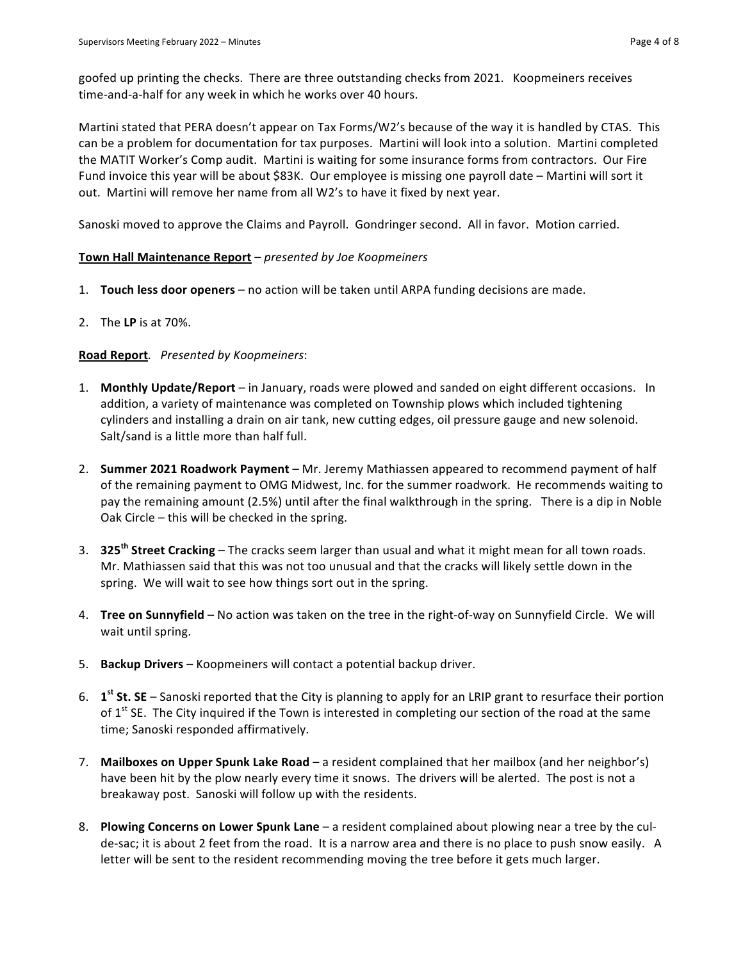goofed up printing the checks. There are three outstanding checks from 2021. Koopmeiners receives time-and-a-half for any week in which he works over 40 hours.

Martini stated that PERA doesn't appear on Tax Forms/W2's because of the way it is handled by CTAS. This can be a problem for documentation for tax purposes. Martini will look into a solution. Martini completed the MATIT Worker's Comp audit. Martini is waiting for some insurance forms from contractors. Our Fire Fund invoice this year will be about \$83K. Our employee is missing one payroll date – Martini will sort it out. Martini will remove her name from all W2's to have it fixed by next year.

Sanoski moved to approve the Claims and Payroll. Gondringer second. All in favor. Motion carried.

### **Town Hall Maintenance Report** – *presented by Joe Koopmeiners*

- 1. **Touch less door openers** no action will be taken until ARPA funding decisions are made.
- 2. The **LP** is at 70%.

### **Road Report***. Presented by Koopmeiners*:

- 1. **Monthly Update/Report** in January, roads were plowed and sanded on eight different occasions. In addition, a variety of maintenance was completed on Township plows which included tightening cylinders and installing a drain on air tank, new cutting edges, oil pressure gauge and new solenoid. Salt/sand is a little more than half full.
- 2. **Summer 2021 Roadwork Payment** Mr. Jeremy Mathiassen appeared to recommend payment of half of the remaining payment to OMG Midwest, Inc. for the summer roadwork. He recommends waiting to pay the remaining amount (2.5%) until after the final walkthrough in the spring. There is a dip in Noble Oak Circle  $-$  this will be checked in the spring.
- 3. **325<sup>th</sup> Street Cracking** The cracks seem larger than usual and what it might mean for all town roads. Mr. Mathiassen said that this was not too unusual and that the cracks will likely settle down in the spring. We will wait to see how things sort out in the spring.
- 4. **Tree on Sunnyfield** No action was taken on the tree in the right-of-way on Sunnyfield Circle. We will wait until spring.
- 5. **Backup Drivers** Koopmeiners will contact a potential backup driver.
- 6. **1<sup>st</sup> St. SE** Sanoski reported that the City is planning to apply for an LRIP grant to resurface their portion of 1<sup>st</sup> SE. The City inquired if the Town is interested in completing our section of the road at the same time; Sanoski responded affirmatively.
- 7. **Mailboxes on Upper Spunk Lake Road** a resident complained that her mailbox (and her neighbor's) have been hit by the plow nearly every time it snows. The drivers will be alerted. The post is not a breakaway post. Sanoski will follow up with the residents.
- 8. **Plowing Concerns on Lower Spunk Lane** a resident complained about plowing near a tree by the culde-sac; it is about 2 feet from the road. It is a narrow area and there is no place to push snow easily. A letter will be sent to the resident recommending moving the tree before it gets much larger.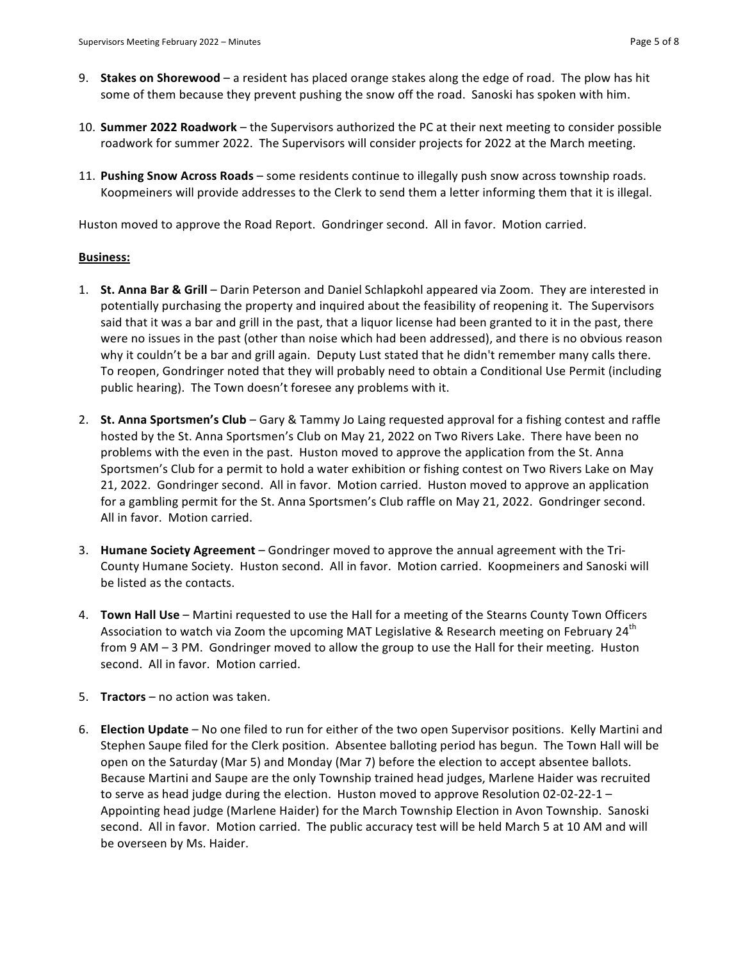- 9. **Stakes on Shorewood** a resident has placed orange stakes along the edge of road. The plow has hit some of them because they prevent pushing the snow off the road. Sanoski has spoken with him.
- 10. **Summer 2022 Roadwork** the Supervisors authorized the PC at their next meeting to consider possible roadwork for summer 2022. The Supervisors will consider projects for 2022 at the March meeting.
- 11. Pushing Snow Across Roads some residents continue to illegally push snow across township roads. Koopmeiners will provide addresses to the Clerk to send them a letter informing them that it is illegal.

Huston moved to approve the Road Report. Gondringer second. All in favor. Motion carried.

#### **Business:**

- 1. **St. Anna Bar & Grill** Darin Peterson and Daniel Schlapkohl appeared via Zoom. They are interested in potentially purchasing the property and inquired about the feasibility of reopening it. The Supervisors said that it was a bar and grill in the past, that a liquor license had been granted to it in the past, there were no issues in the past (other than noise which had been addressed), and there is no obvious reason why it couldn't be a bar and grill again. Deputy Lust stated that he didn't remember many calls there. To reopen, Gondringer noted that they will probably need to obtain a Conditional Use Permit (including public hearing). The Town doesn't foresee any problems with it.
- 2. **St. Anna Sportsmen's Club** Gary & Tammy Jo Laing requested approval for a fishing contest and raffle hosted by the St. Anna Sportsmen's Club on May 21, 2022 on Two Rivers Lake. There have been no problems with the even in the past. Huston moved to approve the application from the St. Anna Sportsmen's Club for a permit to hold a water exhibition or fishing contest on Two Rivers Lake on May 21, 2022. Gondringer second. All in favor. Motion carried. Huston moved to approve an application for a gambling permit for the St. Anna Sportsmen's Club raffle on May 21, 2022. Gondringer second. All in favor. Motion carried.
- 3. Humane Society Agreement Gondringer moved to approve the annual agreement with the Tri-County Humane Society. Huston second. All in favor. Motion carried. Koopmeiners and Sanoski will be listed as the contacts.
- 4. **Town Hall Use** Martini requested to use the Hall for a meeting of the Stearns County Town Officers Association to watch via Zoom the upcoming MAT Legislative & Research meeting on February 24<sup>th</sup> from 9 AM – 3 PM. Gondringer moved to allow the group to use the Hall for their meeting. Huston second. All in favor. Motion carried.
- 5. **Tractors** no action was taken.
- 6. **Election Update** No one filed to run for either of the two open Supervisor positions. Kelly Martini and Stephen Saupe filed for the Clerk position. Absentee balloting period has begun. The Town Hall will be open on the Saturday (Mar 5) and Monday (Mar 7) before the election to accept absentee ballots. Because Martini and Saupe are the only Township trained head judges, Marlene Haider was recruited to serve as head judge during the election. Huston moved to approve Resolution 02-02-22-1 – Appointing head judge (Marlene Haider) for the March Township Election in Avon Township. Sanoski second. All in favor. Motion carried. The public accuracy test will be held March 5 at 10 AM and will be overseen by Ms. Haider.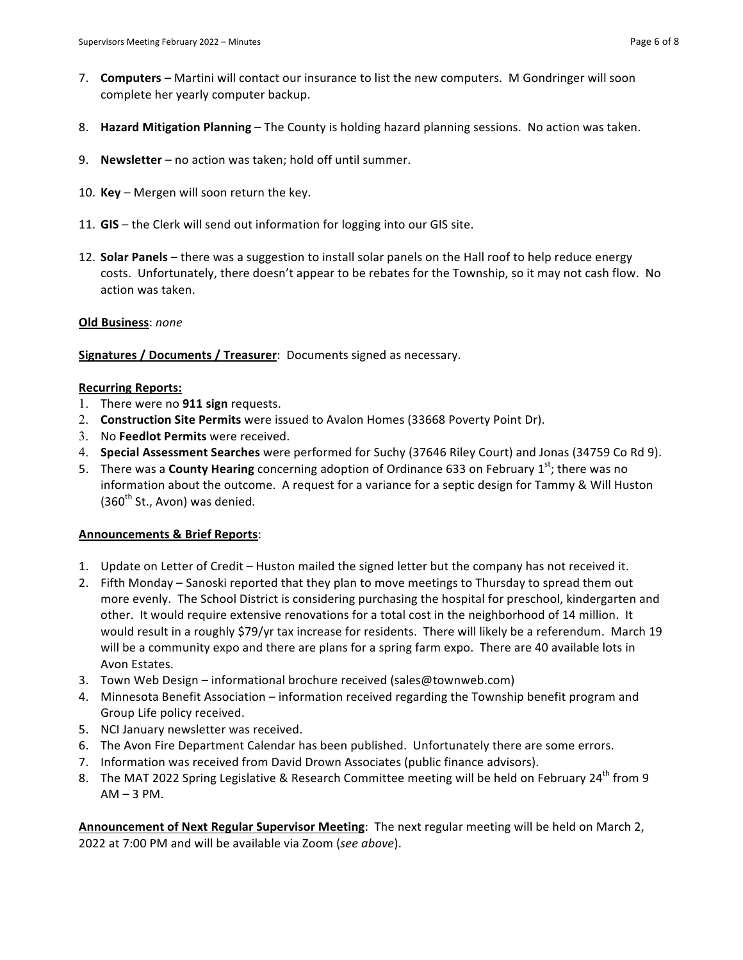- 7. **Computers** Martini will contact our insurance to list the new computers. M Gondringer will soon complete her yearly computer backup.
- 8. **Hazard Mitigation Planning** The County is holding hazard planning sessions. No action was taken.
- 9. **Newsletter** no action was taken; hold off until summer.
- 10. Key Mergen will soon return the key.
- 11. GIS the Clerk will send out information for logging into our GIS site.
- 12. **Solar Panels** there was a suggestion to install solar panels on the Hall roof to help reduce energy costs. Unfortunately, there doesn't appear to be rebates for the Township, so it may not cash flow. No action was taken.

#### **Old Business**: *none*

**Signatures / Documents / Treasurer:** Documents signed as necessary.

#### **Recurring Reports:**

- 1. There were no **911 sign** requests.
- 2. **Construction Site Permits** were issued to Avalon Homes (33668 Poverty Point Dr).
- 3. No **Feedlot Permits** were received.
- 4. **Special Assessment Searches** were performed for Suchy (37646 Riley Court) and Jonas (34759 Co Rd 9).
- 5. There was a **County Hearing** concerning adoption of Ordinance 633 on February 1<sup>st</sup>; there was no information about the outcome. A request for a variance for a septic design for Tammy & Will Huston  $(360<sup>th</sup>$  St., Avon) was denied.

#### **Announcements & Brief Reports**:

- 1. Update on Letter of Credit Huston mailed the signed letter but the company has not received it.
- 2. Fifth Monday Sanoski reported that they plan to move meetings to Thursday to spread them out more evenly. The School District is considering purchasing the hospital for preschool, kindergarten and other. It would require extensive renovations for a total cost in the neighborhood of 14 million. It would result in a roughly \$79/yr tax increase for residents. There will likely be a referendum. March 19 will be a community expo and there are plans for a spring farm expo. There are 40 available lots in Avon Estates.
- 3. Town Web Design informational brochure received (sales@townweb.com)
- 4. Minnesota Benefit Association information received regarding the Township benefit program and Group Life policy received.
- 5. NCI January newsletter was received.
- 6. The Avon Fire Department Calendar has been published. Unfortunately there are some errors.
- 7. Information was received from David Drown Associates (public finance advisors).
- 8. The MAT 2022 Spring Legislative & Research Committee meeting will be held on February 24<sup>th</sup> from 9  $AM - 3 PM$ .

**Announcement of Next Regular Supervisor Meeting**: The next regular meeting will be held on March 2, 2022 at 7:00 PM and will be available via Zoom (see above).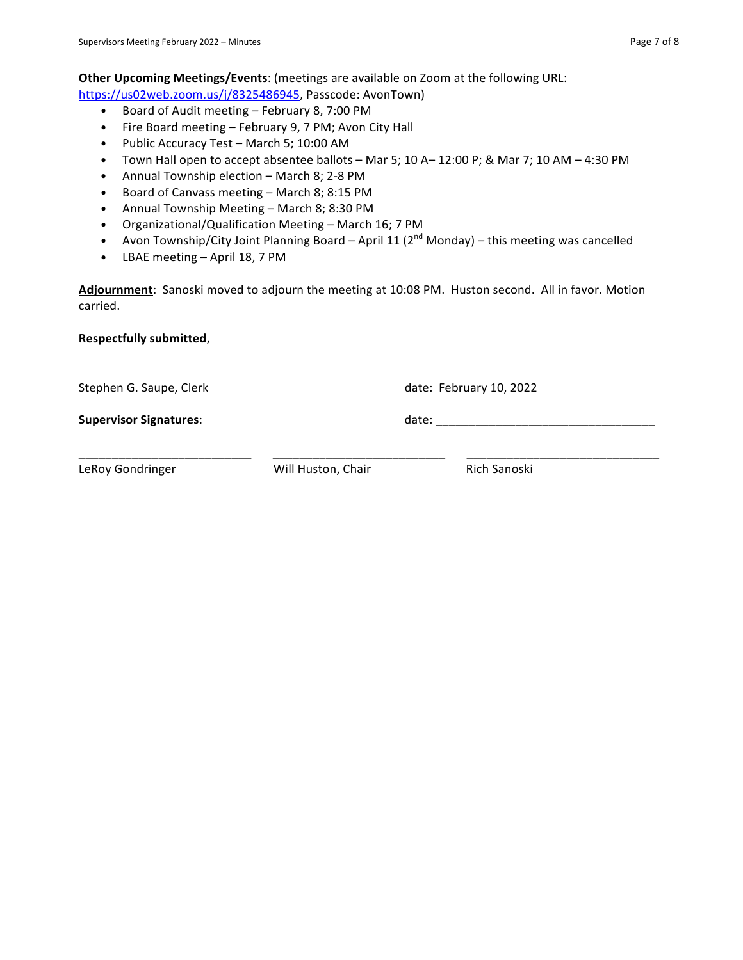**Other Upcoming Meetings/Events:** (meetings are available on Zoom at the following URL:

https://us02web.zoom.us/j/8325486945, Passcode: AvonTown)

- Board of Audit meeting February 8, 7:00 PM
- Fire Board meeting February 9, 7 PM; Avon City Hall
- Public Accuracy Test March 5; 10:00 AM
- Town Hall open to accept absentee ballots Mar 5; 10 A– 12:00 P; & Mar 7; 10 AM 4:30 PM
- Annual Township election March 8; 2-8 PM
- Board of Canvass meeting March 8; 8:15 PM
- Annual Township Meeting March 8; 8:30 PM
- Organizational/Qualification Meeting March 16; 7 PM
- Avon Township/City Joint Planning Board April 11 ( $2^{nd}$  Monday) this meeting was cancelled
- LBAE meeting April 18, 7 PM

Adjournment: Sanoski moved to adjourn the meeting at 10:08 PM. Huston second. All in favor. Motion carried.

\_\_\_\_\_\_\_\_\_\_\_\_\_\_\_\_\_\_\_\_\_\_\_\_\_\_ \_\_\_\_\_\_\_\_\_\_\_\_\_\_\_\_\_\_\_\_\_\_\_\_\_\_ \_\_\_\_\_\_\_\_\_\_\_\_\_\_\_\_\_\_\_\_\_\_\_\_\_\_\_\_\_

## **Respectfully submitted**,

Stephen G. Saupe, Clerk date: February 10, 2022

**Supervisor Signatures**: date: \_\_\_\_\_\_\_\_\_\_\_\_\_\_\_\_\_\_\_\_\_\_\_\_\_\_\_\_\_\_\_\_\_

LeRoy Gondringer **Will Huston, Chair Rich Sanoski**